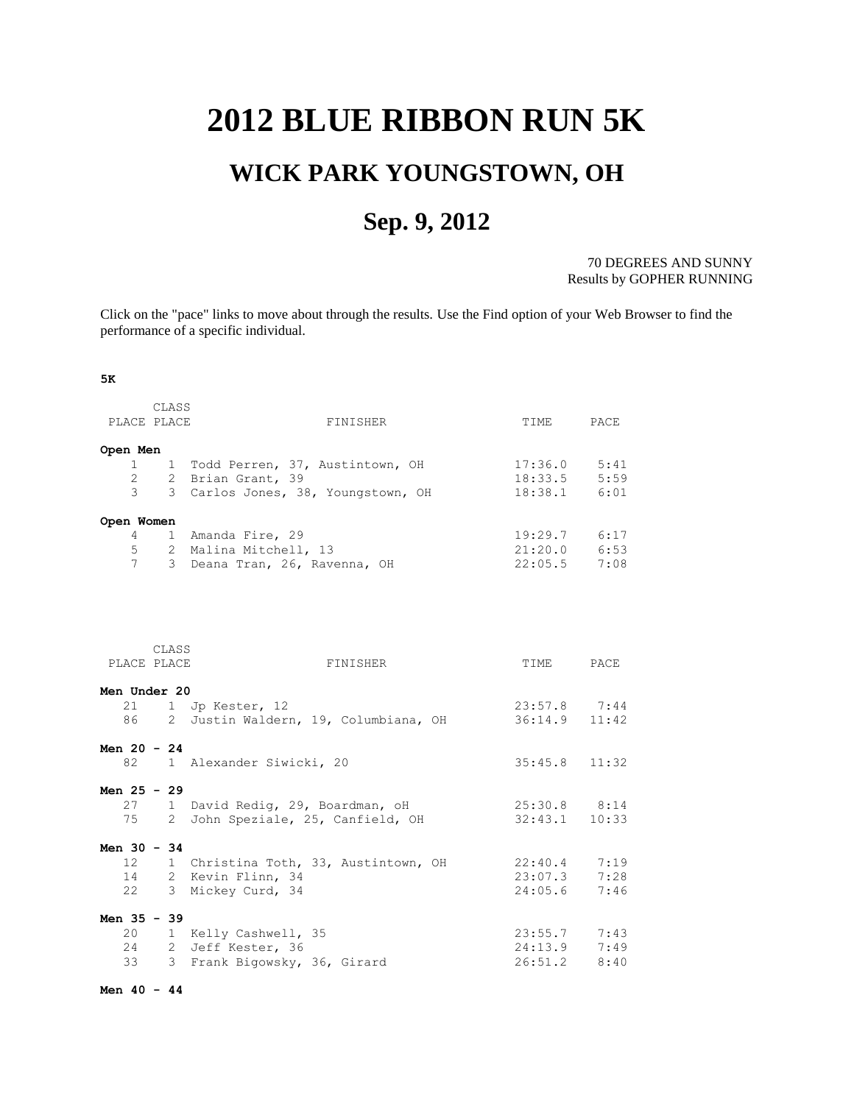## <span id="page-0-0"></span>**2012 BLUE RIBBON RUN 5K**

## **WICK PARK YOUNGSTOWN, OH**

## **Sep. 9, 2012**

70 DEGREES AND SUNNY Results by GOPHER RUNNING

Click on the "pace" links to move about through the results. Use the Find option of your Web Browser to find the performance of a specific individual.

## **5K**

| PLACE PLACE<br>FINISHER<br>TIME<br>PACE<br>Open Men<br>1 Todd Perren, 37, Austintown, OH<br>$17:36.0$ $5:41$<br>$\mathbf{1}$<br>$\overline{2}$<br>18:33.5<br>5:59<br>2 Brian Grant, 39<br>$\overline{3}$<br>3 Carlos Jones, 38, Youngstown, OH<br>18:38.1 6:01<br>$4 -$<br>1 Amanda Fire, 29<br>$19:29.7$ 6:17<br>$21:20.0$ 6:53<br>5<br>2 Malina Mitchell, 13<br>7<br>22:05.5<br>3 Deana Tran, 26, Ravenna, OH<br>7:08<br>CLASS<br>PLACE PLACE<br>FINISHER<br>PACE<br>TIME<br>21<br>$23:57.8$ 7:44<br>1 Jp Kester, 12 |
|------------------------------------------------------------------------------------------------------------------------------------------------------------------------------------------------------------------------------------------------------------------------------------------------------------------------------------------------------------------------------------------------------------------------------------------------------------------------------------------------------------------------|
|                                                                                                                                                                                                                                                                                                                                                                                                                                                                                                                        |
|                                                                                                                                                                                                                                                                                                                                                                                                                                                                                                                        |
| Open Women<br>Men Under 20                                                                                                                                                                                                                                                                                                                                                                                                                                                                                             |
|                                                                                                                                                                                                                                                                                                                                                                                                                                                                                                                        |
|                                                                                                                                                                                                                                                                                                                                                                                                                                                                                                                        |
|                                                                                                                                                                                                                                                                                                                                                                                                                                                                                                                        |
|                                                                                                                                                                                                                                                                                                                                                                                                                                                                                                                        |
|                                                                                                                                                                                                                                                                                                                                                                                                                                                                                                                        |
|                                                                                                                                                                                                                                                                                                                                                                                                                                                                                                                        |
|                                                                                                                                                                                                                                                                                                                                                                                                                                                                                                                        |
|                                                                                                                                                                                                                                                                                                                                                                                                                                                                                                                        |
|                                                                                                                                                                                                                                                                                                                                                                                                                                                                                                                        |
|                                                                                                                                                                                                                                                                                                                                                                                                                                                                                                                        |
|                                                                                                                                                                                                                                                                                                                                                                                                                                                                                                                        |
|                                                                                                                                                                                                                                                                                                                                                                                                                                                                                                                        |
|                                                                                                                                                                                                                                                                                                                                                                                                                                                                                                                        |
|                                                                                                                                                                                                                                                                                                                                                                                                                                                                                                                        |
|                                                                                                                                                                                                                                                                                                                                                                                                                                                                                                                        |
|                                                                                                                                                                                                                                                                                                                                                                                                                                                                                                                        |
| 36:14.9 11:42<br>86<br>2 Justin Waldern, 19, Columbiana, OH                                                                                                                                                                                                                                                                                                                                                                                                                                                            |
|                                                                                                                                                                                                                                                                                                                                                                                                                                                                                                                        |
| Men $20 - 24$                                                                                                                                                                                                                                                                                                                                                                                                                                                                                                          |
| 82<br>1 Alexander Siwicki, 20<br>35:45.8<br>11:32                                                                                                                                                                                                                                                                                                                                                                                                                                                                      |
|                                                                                                                                                                                                                                                                                                                                                                                                                                                                                                                        |
| Men 25 - 29                                                                                                                                                                                                                                                                                                                                                                                                                                                                                                            |
| 27<br>1 David Redig, 29, Boardman, oH<br>$25:30.8$ 8:14                                                                                                                                                                                                                                                                                                                                                                                                                                                                |
| 75<br>John Speziale, 25, Canfield, OH<br>32:43.1<br>$\mathbf{2}$<br>10:33                                                                                                                                                                                                                                                                                                                                                                                                                                              |
| Men $30 - 34$                                                                                                                                                                                                                                                                                                                                                                                                                                                                                                          |
| 12<br>1 Christina Toth, 33, Austintown, OH<br>22:40.4<br>7:19                                                                                                                                                                                                                                                                                                                                                                                                                                                          |
| 14<br>2 Kevin Flinn, 34<br>$23:07.3$ 7:28                                                                                                                                                                                                                                                                                                                                                                                                                                                                              |
| 22<br>24:05.6<br>3 Mickey Curd, 34<br>7:46                                                                                                                                                                                                                                                                                                                                                                                                                                                                             |
|                                                                                                                                                                                                                                                                                                                                                                                                                                                                                                                        |
| Men 35 - 39                                                                                                                                                                                                                                                                                                                                                                                                                                                                                                            |
| 20 1 Kelly Cashwell, 35<br>$23:55.7$ 7:43                                                                                                                                                                                                                                                                                                                                                                                                                                                                              |
| 24 2 Jeff Kester, 36<br>$24:13.9$ 7:49                                                                                                                                                                                                                                                                                                                                                                                                                                                                                 |
| 33<br>3 Frank Bigowsky, 36, Girard<br>26:51.2<br>8:40                                                                                                                                                                                                                                                                                                                                                                                                                                                                  |

**Men 40 - 44**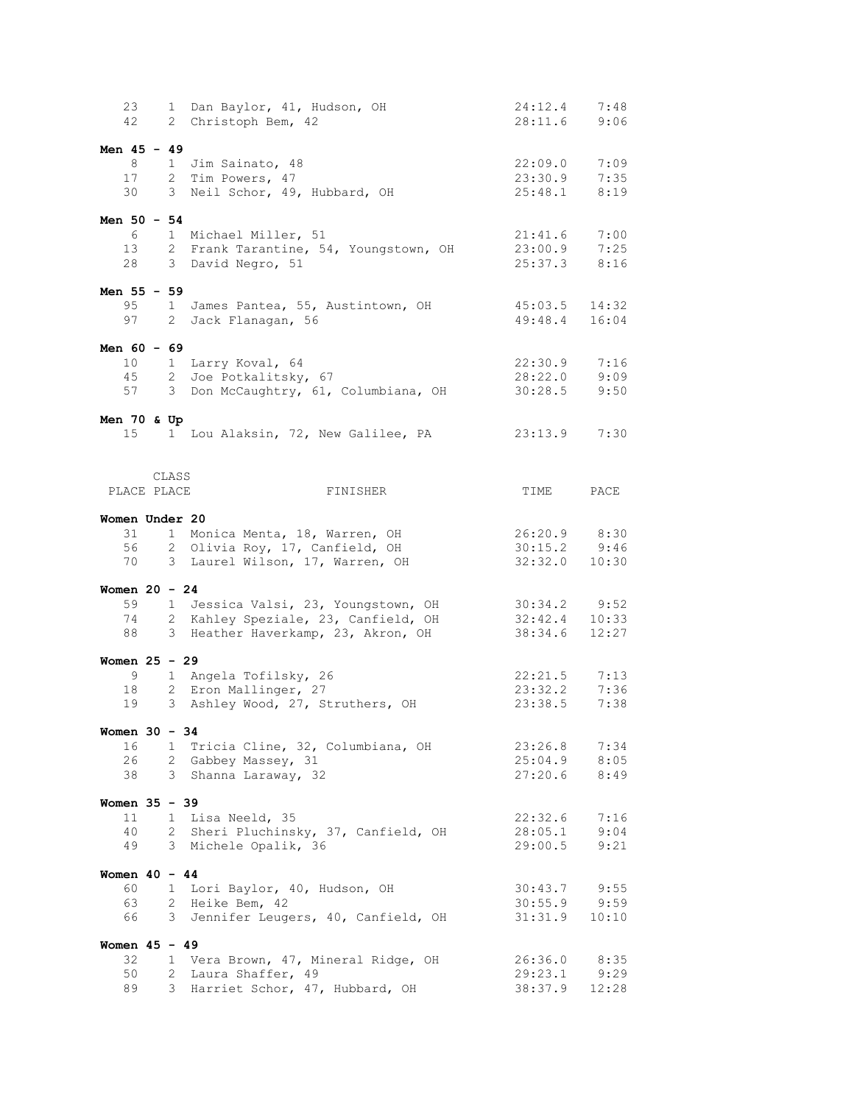| 23<br>42                          |                     | 1 Dan Baylor, 41, Hudson, OH<br>2 Christoph Bem, 42                                                              | 24:12.4<br>28:11.6                   | 7:48<br>9:06          |
|-----------------------------------|---------------------|------------------------------------------------------------------------------------------------------------------|--------------------------------------|-----------------------|
| Men $45 - 49$<br>8<br>17<br>30    |                     | 1 Jim Sainato, 48<br>2 Tim Powers, 47<br>3 Neil Schor, 49, Hubbard, OH                                           | 22:09.0<br>23:30.9<br>25:48.1        | 7:09<br>7:35<br>8:19  |
| Men $50 - 54$<br>6<br>13<br>28    |                     | 1 Michael Miller, 51<br>2 Frank Tarantine, 54, Youngstown, OH<br>3 David Negro, 51                               | 21:41.6<br>23:00.9<br>25:37.3        | 7:00<br>7:25<br>8:16  |
| Men 55 - 59<br>95<br>97           |                     | 1 James Pantea, 55, Austintown, OH<br>2 Jack Flanagan, 56                                                        | 45:03.5<br>49:48.4                   | 14:32<br>16:04        |
| Men $60 - 69$<br>10<br>45<br>57   |                     | 1 Larry Koval, 64<br>2 Joe Potkalitsky, 67<br>3 Don McCaughtry, 61, Columbiana, OH                               | 22:30.9<br>28:22.0<br>30:28.5        | 7:16<br>9:09<br>9:50  |
| Men 70 & Up<br>15                 |                     | 1 Lou Alaksin, 72, New Galilee, PA                                                                               | 23:13.9                              | 7:30                  |
| PLACE PLACE                       | CLASS               | FINISHER                                                                                                         | TIME                                 | PACE                  |
| Women Under 20<br>31<br>56<br>70  |                     | 1 Monica Menta, 18, Warren, OH<br>2 Olivia Roy, 17, Canfield, OH<br>3 Laurel Wilson, 17, Warren, OH              | 26:20.9<br>30:15.2<br>32:32.0        | 8:30<br>9:46<br>10:30 |
| Women $20 - 24$<br>59<br>74<br>88 |                     | 1 Jessica Valsi, 23, Youngstown, OH<br>2 Kahley Speziale, 23, Canfield, OH<br>3 Heather Haverkamp, 23, Akron, OH | $30:34.2$ 9:52<br>32:42.4<br>38:34.6 | 10:33<br>12:27        |
| Women $25 - 29$<br>9<br>18<br>19  |                     | 1 Angela Tofilsky, 26<br>2 Eron Mallinger, 27<br>3 Ashley Wood, 27, Struthers, OH                                | 22:21.5<br>23:32.2<br>23:38.5        | 7:13<br>7:36<br>7:38  |
| Women $30 - 34$<br>16<br>26<br>38 | 1                   | Tricia Cline, 32, Columbiana, OH<br>2 Gabbey Massey, 31<br>3 Shanna Laraway, 32                                  | 23:26.8<br>25:04.9<br>27:20.6        | 7:34<br>8:05<br>8:49  |
| Women 35 - 39<br>11<br>40<br>49   |                     | 1 Lisa Neeld, 35<br>2 Sheri Pluchinsky, 37, Canfield, OH<br>3 Michele Opalik, 36                                 | 22:32.6<br>28:05.1<br>29:00.5        | 7:16<br>9:04<br>9:21  |
| Women $40 - 44$<br>60<br>63<br>66 |                     | 1 Lori Baylor, 40, Hudson, OH<br>2 Heike Bem, 42<br>3 Jennifer Leugers, 40, Canfield, OH                         | 30:43.7<br>30:55.9<br>31:31.9        | 9:55<br>9:59<br>10:10 |
| Women $45 - 49$<br>32<br>50<br>89 | $\mathbf{2}^-$<br>3 | 1 Vera Brown, 47, Mineral Ridge, OH<br>Laura Shaffer, 49<br>Harriet Schor, 47, Hubbard, OH                       | 26:36.0<br>29:23.1<br>38:37.9        | 8:35<br>9:29<br>12:28 |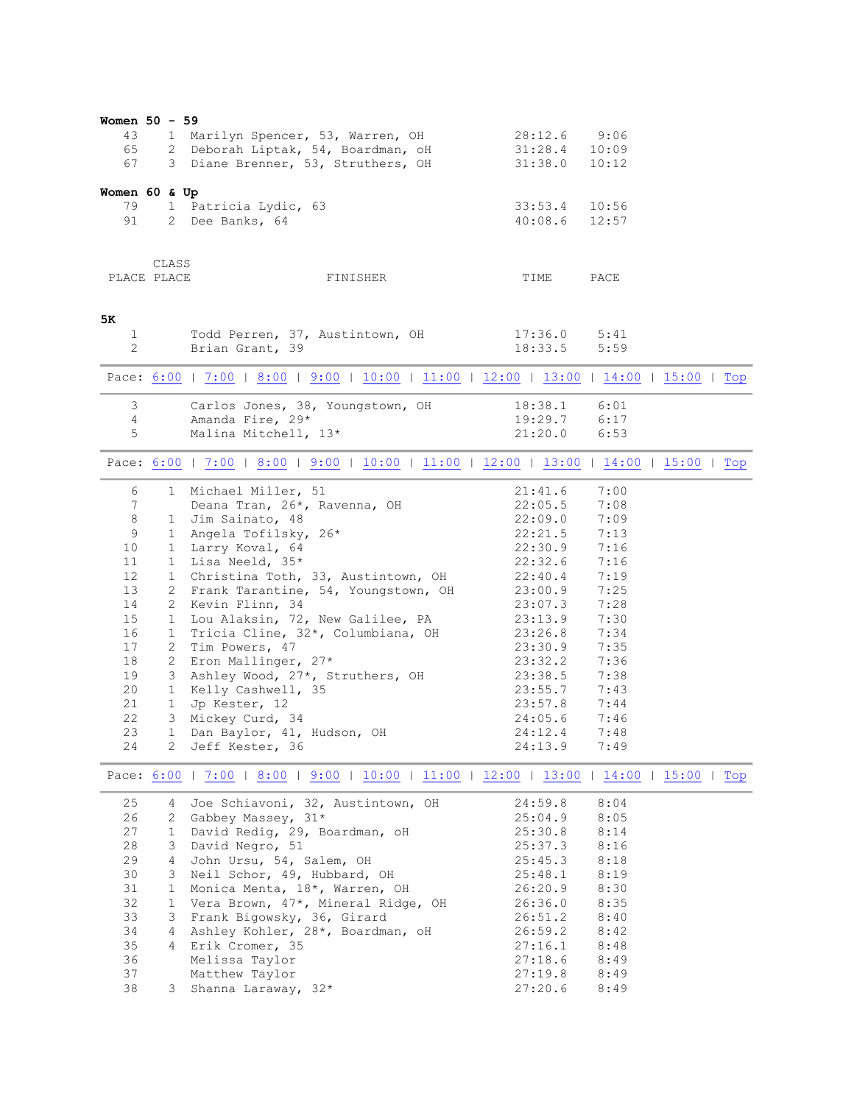<span id="page-2-2"></span><span id="page-2-1"></span><span id="page-2-0"></span>

| Women 50 - 59<br>43<br>65<br>67                                                                          |                                                               | 1 Marilyn Spencer, 53, Warren, OH<br>1 Marilyn Spencer, Jo, Alexandre, OH<br>2 Deborah Liptak, 54, Boardman, OH<br>3 Diane Brenner, 53, Struthers, OH                                                                                                                                                                                                                                                                                                                                                  | 28:12.6<br>31:28.4<br>31:38.0                                                                                                                                                                      | 9:06<br>10:09<br>10:12                                                                                                                       |  |
|----------------------------------------------------------------------------------------------------------|---------------------------------------------------------------|--------------------------------------------------------------------------------------------------------------------------------------------------------------------------------------------------------------------------------------------------------------------------------------------------------------------------------------------------------------------------------------------------------------------------------------------------------------------------------------------------------|----------------------------------------------------------------------------------------------------------------------------------------------------------------------------------------------------|----------------------------------------------------------------------------------------------------------------------------------------------|--|
| Women 60 & Up<br>79<br>91                                                                                |                                                               | 1 Patricia Lydic, 63<br>2 Dee Banks, 64                                                                                                                                                                                                                                                                                                                                                                                                                                                                | 33:53.4<br>40:08.6                                                                                                                                                                                 | 10:56<br>12:57                                                                                                                               |  |
| PLACE PLACE                                                                                              | CLASS                                                         | FINISHER                                                                                                                                                                                                                                                                                                                                                                                                                                                                                               | TIME                                                                                                                                                                                               | PACE                                                                                                                                         |  |
| 5K<br>1<br>2                                                                                             |                                                               | Todd Perren, 37, Austintown, OH<br>Brian Grant, 39                                                                                                                                                                                                                                                                                                                                                                                                                                                     | 17:36.0<br>18:33.5                                                                                                                                                                                 | 5:41<br>5:59                                                                                                                                 |  |
|                                                                                                          |                                                               | Pace: 6:00   7:00   8:00   9:00   10:00   11:00   12:00   13:00   14:00   15:00   Top                                                                                                                                                                                                                                                                                                                                                                                                                  |                                                                                                                                                                                                    |                                                                                                                                              |  |
| 3<br>4<br>5                                                                                              |                                                               | Carlos Jones, 38, Youngstown, OH<br>Amanda Fire, 29*<br>Malina Mitchell, 13*                                                                                                                                                                                                                                                                                                                                                                                                                           | 18:38.1<br>19:29.7<br>21:20.0                                                                                                                                                                      | 6:01<br>6:17<br>6:53                                                                                                                         |  |
|                                                                                                          |                                                               | Pace: 6:00   7:00   8:00   9:00   10:00   11:00   12:00   13:00   14:00   15:00   Top                                                                                                                                                                                                                                                                                                                                                                                                                  |                                                                                                                                                                                                    |                                                                                                                                              |  |
| 6<br>7<br>8<br>$\,9$<br>10<br>11<br>12<br>13<br>14<br>15<br>16<br>17<br>18<br>19<br>20<br>21<br>22<br>23 | $1 -$<br>$1 -$<br>$\overline{2}$<br>2<br>$1 -$<br>1           | 1 Michael Miller, 51<br>Deana Tran, 26*, Ravenna, OH<br>1 Jim Sainato, 48<br>1 Angela Tofilsky, 26*<br>1 Larry Koval, 64<br>1 Lisa Neeld, 35*<br>1 Christina Toth, 33, Austintown, OH<br>2 Frank Tarantine, 54, Youngstown, OH<br>2 Kevin Flinn, 34<br>Lou Alaksin, 72, New Galilee, PA<br>Tricia Cline, 32*, Columbiana, OH<br>Tim Powers, 47<br>Eron Mallinger, 27*<br>3 Ashley Wood, 27*, Struthers, OH<br>1 Kelly Cashwell, 35<br>Jp Kester, 12<br>3 Mickey Curd, 34<br>Dan Baylor, 41, Hudson, OH | 21:41.6<br>22:05.5<br>22:09.0<br>22:21.5<br>22:30.9<br>22:32.6<br>22:40.4<br>23:00.9<br>23:07.3<br>23:13.9<br>23:26.8<br>23:30.9<br>23:32.2<br>23:38.5<br>23:55.7<br>23:57.8<br>24:05.6<br>24:12.4 | 7:00<br>7:08<br>7:09<br>7:13<br>7:16<br>7:16<br>7:19<br>7:25<br>7:28<br>7:30<br>7:34<br>7:35<br>7:36<br>7:38<br>7:43<br>7:44<br>7:46<br>7:48 |  |
| 24                                                                                                       | $\mathbf{2}$                                                  | Jeff Kester, 36<br>Pace: 6:00   7:00   8:00   9:00   10:00   11:00   12:00   13:00   14:00   15:00   Top                                                                                                                                                                                                                                                                                                                                                                                               | 24:13.9                                                                                                                                                                                            | 7:49                                                                                                                                         |  |
| 25<br>26<br>27<br>28<br>29<br>30<br>31<br>32<br>33<br>34<br>35<br>36<br>37                               | 4<br>$1 -$<br>3<br>4<br>3<br>$\mathbf{1}$<br>1<br>3<br>4<br>4 | Joe Schiavoni, 32, Austintown, OH<br>2 Gabbey Massey, 31*<br>David Redig, 29, Boardman, oH<br>David Negro, 51<br>John Ursu, 54, Salem, OH<br>Neil Schor, 49, Hubbard, OH<br>Monica Menta, 18*, Warren, OH<br>Vera Brown, 47*, Mineral Ridge, OH<br>Frank Bigowsky, 36, Girard<br>Ashley Kohler, 28*, Boardman, oH<br>Erik Cromer, 35<br>Melissa Taylor<br>Matthew Taylor                                                                                                                               | 24:59.8<br>25:04.9<br>25:30.8<br>25:37.3<br>25:45.3<br>25:48.1<br>26:20.9<br>26:36.0<br>26:51.2<br>26:59.2<br>27:16.1<br>27:18.6<br>27:19.8                                                        | 8:04<br>8:05<br>8:14<br>8:16<br>8:18<br>8:19<br>8:30<br>8:35<br>8:40<br>8:42<br>8:48<br>8:49<br>8:49                                         |  |
| 38                                                                                                       | 3                                                             | Shanna Laraway, 32*                                                                                                                                                                                                                                                                                                                                                                                                                                                                                    | 27:20.6                                                                                                                                                                                            | 8:49                                                                                                                                         |  |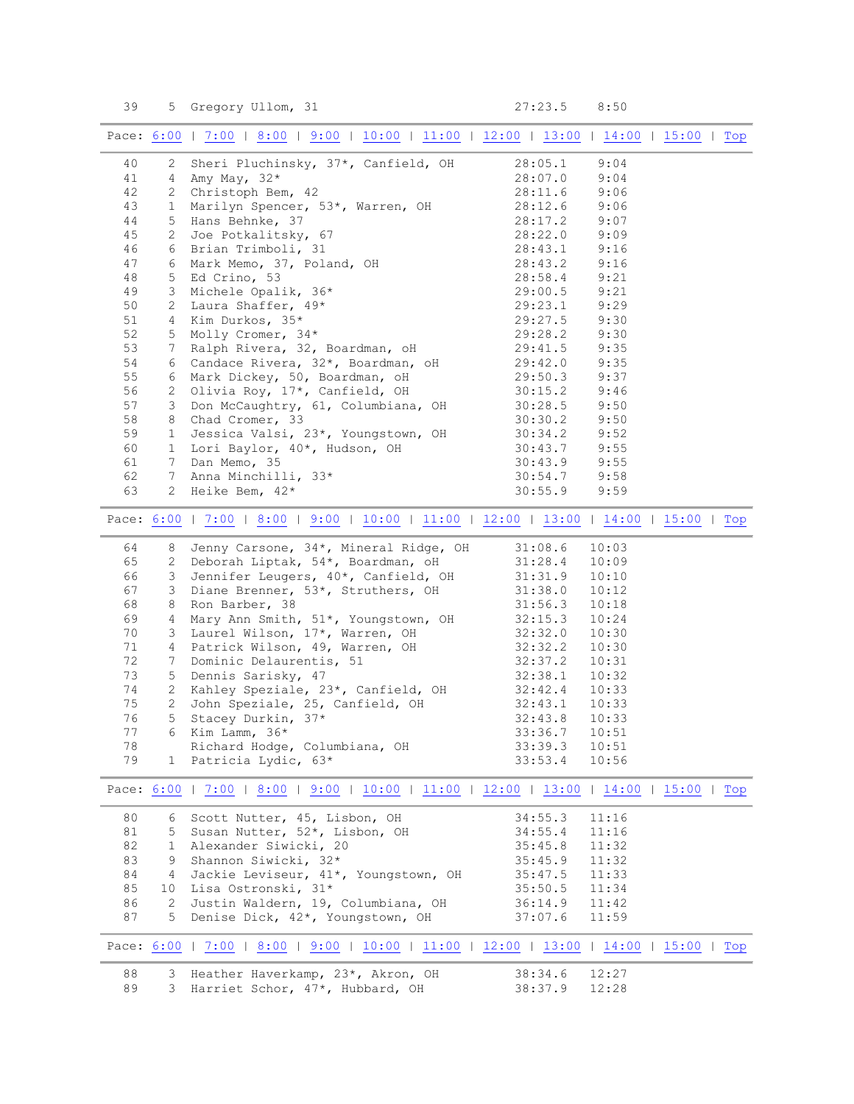39 5 Gregory Ullom, 31 27:23.5 8:50

<span id="page-3-3"></span><span id="page-3-2"></span><span id="page-3-1"></span><span id="page-3-0"></span>

|    |                       | Pace: 6:00   7:00   8:00   9:00   10:00   11:00   12:00   13:00   14:00   15:00   Top                                                              |                    |       |  |  |
|----|-----------------------|----------------------------------------------------------------------------------------------------------------------------------------------------|--------------------|-------|--|--|
| 40 |                       | 2 Sheri Pluchinsky, 37*, Canfield, OH                                                                                                              | 28:05.1            | 9:04  |  |  |
| 41 |                       | 4 Amy May, 32*                                                                                                                                     | 28:07.0            | 9:04  |  |  |
| 42 |                       | 2 Christoph Bem, 42                                                                                                                                | 28:11.6            | 9:06  |  |  |
| 43 |                       | 1 Marilyn Spencer, 53*, Warren, OH                                                                                                                 | 28:12.6            | 9:06  |  |  |
| 44 |                       | 5 Hans Behnke, 37                                                                                                                                  | 28:17.2            | 9:07  |  |  |
| 45 |                       | $\begin{array}{ccc}\n & -\sqrt{16} & 6 \\ \hline\n\end{array}$<br>6 Mark Memo, 37, Poland, OH<br>5 Ed Crino, 53<br>3 Michele Opalik. 264<br>2 Leve | 28:22.0            | 9:09  |  |  |
| 46 |                       |                                                                                                                                                    | 28:43.1            | 9:16  |  |  |
| 47 |                       |                                                                                                                                                    | 28:43.2            | 9:16  |  |  |
| 48 |                       |                                                                                                                                                    | 28:58.4            | 9:21  |  |  |
| 49 |                       |                                                                                                                                                    | 29:00.5            | 9:21  |  |  |
| 50 |                       | 2 Laura Shaffer, 49*                                                                                                                               | 29:23.1            | 9:29  |  |  |
| 51 |                       | 4 Kim Durkos, 35*                                                                                                                                  | 29:27.5            | 9:30  |  |  |
| 52 |                       |                                                                                                                                                    | 29:28.2            | 9:30  |  |  |
| 53 |                       | 5 Molly Cromer, 34*<br>7 Ralph Rivera, 32, Boardman, oH<br>6 Candace Rivera, 32*, Boardman, oH<br>1 1 Dielew 50 Roardman, oH                       |                    | 9:35  |  |  |
| 54 |                       |                                                                                                                                                    | 29:41.5<br>29:42.0 | 9:35  |  |  |
| 55 |                       |                                                                                                                                                    | 29:50.3            | 9:37  |  |  |
| 56 | 2                     | Olivia Roy, 17*, Canfield, OH                                                                                                                      | 30:15.2            | 9:46  |  |  |
| 57 | 3 <sup>7</sup>        | Don McCaughtry, 61, Columbiana, OH                                                                                                                 | 30:28.5            | 9:50  |  |  |
| 58 | 8                     | Chad Cromer, 33                                                                                                                                    | 30:30.2            | 9:50  |  |  |
| 59 | $\mathbf{1}$          | Jessica Valsi, 23*, Youngstown, OH                                                                                                                 | 30:34.2            | 9:52  |  |  |
| 60 |                       | 1 Lori Baylor, 40*, Hudson, OH                                                                                                                     | 30:43.7            | 9:55  |  |  |
| 61 |                       | 7 Dan Memo, 35                                                                                                                                     | 30:43.9            | 9:55  |  |  |
| 62 | 7                     | Anna Minchilli, 33*                                                                                                                                | 30:54.7            | 9:58  |  |  |
| 63 |                       |                                                                                                                                                    |                    |       |  |  |
|    |                       | 2 Heike Bem, $42*$                                                                                                                                 | 30:55.9            | 9:59  |  |  |
|    |                       | Pace: 6:00   7:00   8:00   9:00   10:00   11:00   12:00   13:00   14:00   15:00   Top                                                              |                    |       |  |  |
| 64 | 8                     | Jenny Carsone, 34*, Mineral Ridge, OH                                                                                                              | 31:08.6            | 10:03 |  |  |
| 65 | 2                     | Deborah Liptak, 54*, Boardman, oH                                                                                                                  | 31:28.4            | 10:09 |  |  |
| 66 | 3                     | Jennifer Leugers, 40*, Canfield, OH                                                                                                                | 31:31.9            | 10:10 |  |  |
| 67 | $\mathcal{S}$         | Diane Brenner, 53*, Struthers, OH                                                                                                                  | 31:38.0            | 10:12 |  |  |
| 68 | 8                     | Ron Barber, 38                                                                                                                                     | 31:56.3            | 10:18 |  |  |
| 69 | 4                     | Mary Ann Smith, 51*, Youngstown, OH                                                                                                                | 32:15.3            | 10:24 |  |  |
| 70 |                       |                                                                                                                                                    | 32:32.0            | 10:30 |  |  |
| 71 |                       | Patrick Wilson, 49, Warren, OH<br>3 Dominic Delaurentis 51                                                                                         | 32:32.2            | 10:30 |  |  |
| 72 |                       |                                                                                                                                                    | 32:37.2            | 10:31 |  |  |
| 73 | 5                     | Dennis Sarisky, 47                                                                                                                                 | 32:38.1            | 10:32 |  |  |
| 74 | $\mathbf{2}$          |                                                                                                                                                    | 32:42.4            | 10:33 |  |  |
| 75 |                       | Kahley Speziale, 23*, Canfield, OH<br>John Speziale, 25, Canfield, OH<br>2 John Speziale, 25, Canfield, OH                                         | 32:43.1            | 10:33 |  |  |
| 76 | 5                     | Stacey Durkin, 37*                                                                                                                                 | 32:43.8            | 10:33 |  |  |
| 77 | 6                     | Kim Lamm, 36*                                                                                                                                      | 33:36.7            | 10:51 |  |  |
| 78 |                       | Richard Hodge, Columbiana, OH                                                                                                                      | 33:39.3            | 10:51 |  |  |
| 79 | 1                     | Patricia Lydic, 63*                                                                                                                                | 33:53.4            | 10:56 |  |  |
|    |                       | Pace: 6:00   7:00   8:00   9:00   10:00   11:00   12:00   13:00   14:00   15:00   Top                                                              |                    |       |  |  |
| 80 | 6                     | Scott Nutter, 45, Lisbon, OH                                                                                                                       | 34:55.3            | 11:16 |  |  |
| 81 | 5                     | Susan Nutter, 52*, Lisbon, OH                                                                                                                      | 34:55.4            | 11:16 |  |  |
| 82 | $1 -$                 | Alexander Siwicki, 20                                                                                                                              | 35:45.8            | 11:32 |  |  |
| 83 | 9                     | Shannon Siwicki, 32*                                                                                                                               | 35:45.9            | 11:32 |  |  |
| 84 | 4                     | Jackie Leviseur, 41*, Youngstown, OH                                                                                                               | 35:47.5            | 11:33 |  |  |
| 85 | 10                    | Lisa Ostronski, 31*                                                                                                                                | 35:50.5            | 11:34 |  |  |
| 86 | $\mathbf{2}^{\prime}$ | Justin Waldern, 19, Columbiana, OH                                                                                                                 | 36:14.9            | 11:42 |  |  |
| 87 | 5                     | Denise Dick, 42*, Youngstown, OH                                                                                                                   | 37:07.6            | 11:59 |  |  |
|    |                       | Pace: 6:00   7:00   8:00   9:00   10:00   11:00   12:00   13:00   14:00   15:00   Top                                                              |                    |       |  |  |
| 88 | 3                     | Heather Haverkamp, 23*, Akron, OH                                                                                                                  | 38:34.6            | 12:27 |  |  |
| 89 | 3                     | Harriet Schor, 47*, Hubbard, OH                                                                                                                    | 38:37.9            | 12:28 |  |  |